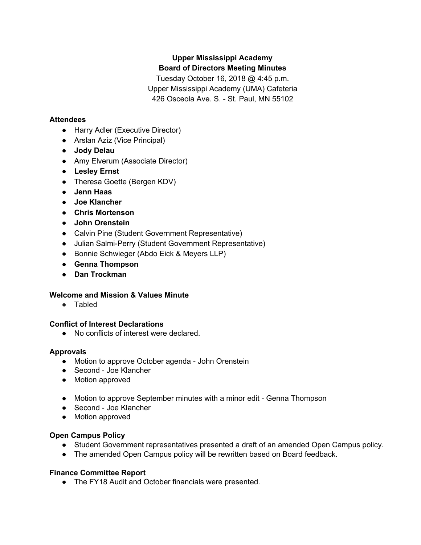# **Upper Mississippi Academy Board of Directors Meeting Minutes**

Tuesday October 16, 2018 @ 4:45 p.m. Upper Mississippi Academy (UMA) Cafeteria 426 Osceola Ave. S. - St. Paul, MN 55102

### **Attendees**

- Harry Adler (Executive Director)
- Arslan Aziz (Vice Principal)
- **● Jody Delau**
- Amy Elverum (Associate Director)
- **● Lesley Ernst**
- Theresa Goette (Bergen KDV)
- **● Jenn Haas**
- **● Joe Klancher**
- **● Chris Mortenson**
- **● John Orenstein**
- Calvin Pine (Student Government Representative)
- Julian Salmi-Perry (Student Government Representative)
- Bonnie Schwieger (Abdo Eick & Meyers LLP)
- **● Genna Thompson**
- **● Dan Trockman**

### **Welcome and Mission & Values Minute**

● Tabled

### **Conflict of Interest Declarations**

● No conflicts of interest were declared.

### **Approvals**

- Motion to approve October agenda John Orenstein
- Second Joe Klancher
- Motion approved
- Motion to approve September minutes with a minor edit Genna Thompson
- Second Joe Klancher
- Motion approved

# **Open Campus Policy**

- Student Government representatives presented a draft of an amended Open Campus policy.
- The amended Open Campus policy will be rewritten based on Board feedback.

# **Finance Committee Report**

● The FY18 Audit and October financials were presented.